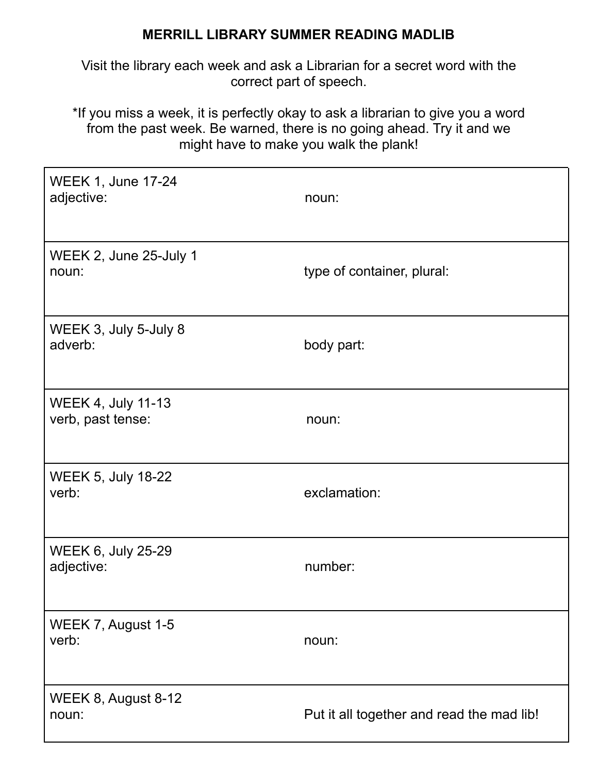## **MERRILL LIBRARY SUMMER READING MADLIB**

Visit the library each week and ask a Librarian for a secret word with the correct part of speech.

\*If you miss a week, it is perfectly okay to ask a librarian to give you a word from the past week. Be warned, there is no going ahead. Try it and we might have to make you walk the plank!

| <b>WEEK 1, June 17-24</b><br>adjective:        | noun:                                     |
|------------------------------------------------|-------------------------------------------|
| WEEK 2, June 25-July 1<br>noun:                | type of container, plural:                |
| WEEK 3, July 5-July 8<br>adverb:               | body part:                                |
| <b>WEEK 4, July 11-13</b><br>verb, past tense: | noun:                                     |
| <b>WEEK 5, July 18-22</b><br>verb:             | exclamation:                              |
| WEEK 6, July 25-29<br>adjective:               | number:                                   |
| WEEK 7, August 1-5<br>verb:                    | noun:                                     |
| WEEK 8, August 8-12<br>noun:                   | Put it all together and read the mad lib! |